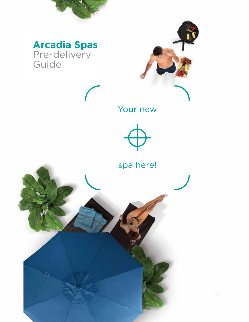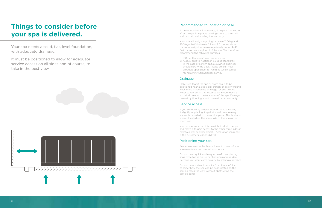### Recommended foundation or base.

If the foundation is inadequate, it may shift or settle after the spa is in place, causing stress to the shell and cabinet, and voiding the warranty.

Your spa will weigh anything between 1200kg and 2500kg (that's between 1.2 and 2.5 tonnes, about the same weight as an average family car or 4x4). Swim spas can weigh up to 7 tonnes. We therefore recommend the following surfaces:

- 1) 100mm thick reinforced concrete pad
- 2) A deck built to Australian building standards. In the case of a swim spa, a qualified engineer should certify the deck. Please consult your products spec sheet for weights which can be found at www.arcadiaspas.com.au.

### Drainage.

Make sure that if the spa or swim spa is to be positioned near a slope, dip, trough or below ground level, there is adequate drainage for any ground water to run off. In this instance we recommend a land drain around the four sides of the spa. Damage caused by flooding is not covered under warranty.

#### Service access.

If you are building a deck around the tub, sinking it slightly, or placing it against a wall, ensure easy access is provided to the service panel. This is almost always located on the same side of the spa as the touch pad.

You must ensure that it is possible to drain the spa and move it to gain access to the other three sides if next to a wall or other object. (Access for spa repair is the customers responsibility).

### Positioning your spa.

Proper planning will enhance the enjoyment of your spa experience and protect your privacy.

Do you need quick and easy access? If so, placing spas close to the house or changing room is ideal. Perhaps you want extra privacy by adding a gazebo?

Do you have a view to admire from the spa? If so, consider how the spa can be best rotated so the seating faces the view without obstructing the service panel.

## **Things to consider before your spa is delivered.**

Your spa needs a solid, flat, level foundation, with adequate drainage.

It must be positioned to allow for adequate service access on all sides and of course, to take in the best view.

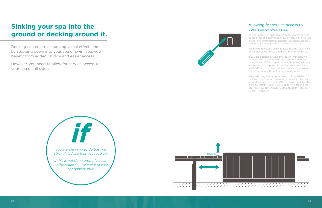## Allowing for service access to your spa or swim spa.

All spas and swim spas require access to the service panel. If the spa cannot be moved freely (i.e. it is sunk in a pit or surrounded by decking) sufficient access is needed for our engineers to service your spa.

We recommend you allow at least 600mm clearance on all four sides for spas and 900mm for swim spas.

If you are decking around the spa or swim spa, we strongly advise that you do this after the item has been delivered. Swim spas cannot be moved without a crane, so it is important that they are spaced at least 900mm from any buildings, fences or retaining walls to ensure sufficient access to all panels.

When decking around your new pool, we advise that you place upright supports at regular intervals around the spa, set back 600mm, then cantilever the joists so that the deck is self-supporting around the spa. This way our engineers can access any service panels if required.

## **Sinking your spa into the ground or decking around it.**

Decking can create a stunning visual effect, and by stepping down into your spa or swim spa, you benefit from added privacy and easier access.

However, you need to allow for service access to your spa on all sides.





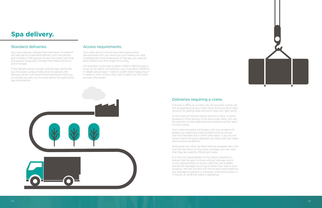## **Spa delivery.**

## Standard deliveries.

Any local delivery charges that have been included in the sale are for a standard delivery with one person and a trolley. If the spa can be put into place with that one person using only a trolley then there will be no extra charges.

If the delivery person arrives, and the spa cannot be put into place using a trolley and one person, the delivery person will require extra assistance from you or will discuss with you the best option for getting the spa into position.

### Access requirements.

Your sales person should have discussed access requirements with you when you purchased your spa. In additional to the dimensions of the spa, you need to allow 300mm for the height of a trolley.

> Your crane company will always visit your property to assess any potential access problems and to ensure that the intended site is within safe reach. If you do not have a crane company selected, our sales staff can make some recommendations.

For example, if your spa is 2350 x 2350 x 930mm and is to go on its side to the position, you must allow 2650mm in height and at least 1 metre in width when measuring. If it needs to turn corners they have to allow for the width and also the length.



## Deliveries requiring a crane.

If access is difficult, a crane may be required. Cranes are not as expensive as you might think and provide an easy solution for getting spas and swim spas into tight spots.

A swim spa will almost always require a crane. In some situations, if the delivery truck has a hiab crane, this can be used for a small additional cost, preventing the need to hire a crane.

While spas can often be lifted without spreader bars, this is at the discretion of the crane company and we insist that they are used for lifting swim spas.

It is the sole responsibility of the crane company to ensure that the spa is moved without damage, and it is your responsibility to ensure that they are suitably insured for damage occurring to either your spa or your property. We can not and will not be held responsible for any damage to persons or property while the product is in the air, or while the crane is operating.



05 06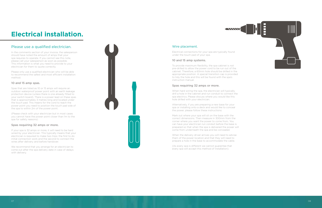## **Electrical installation.**

## Please use a qualified electrician.

In the comments section of your invoice, the salesperson should have noted the amount of amps that your spa requires to operate. If you cannot see this note, please call your salesperson as soon as possible. This information is what you need to provide to your electrician for them to quote correctly.

Please only use a qualified electrician who will be able to recommend the safest and most efficient installation method.

#### 10 and 15 amp spas.

Spas that are listed as 10 or 15 amps will require an outdoor waterproof power point with an earth leakage protection device (unless there is one already fitted to your switch board). There is a power lead on these spas that is approximately 3 metres long and located under the touch pad. This means for the cord to reach the power point you need to position the touch pad side of the spa to within 2m of the power point.

(Please check with your electrician but in most cases you cannot have the power point closer than 1m to the spa for safety reasons).

#### Spas requiring 32 amps or more.

If your spa is 32 amps or more, it will need to be hard wired by your electrician. This typically means that your electrician is required to make two trips: the first to do initial connection work and the second to connect the wires after delivery and before handover.

We recommend that you arrange for an electrician to come out after the spa delivery date in case of delays with delivery.





### Wire placement.

Electrical connections for your spa are typically found under the touch pad of your spa.

#### 10 and 15 amp systems.

To provide maximum flexibility, the spa cabinet is not pre-drilled to allow the power cord to be run out of the cabinet. Therefore, a 60mm hole should be drilled in the appropriate position. A special transition cap is provided to tidy the hole and this will be found with the spa's instruction manual.

#### Spas requiring 32 amps or more.

When hard wiring the spa, the electrician will typically drill a hole in the cabinet and run conduit to connect the spa electrics. Please discuss where you would like this hole drilled with your electrician.

Alternatively, if you are preparing a new base for your spa or installing onto a deck and would like to conceal the power, please follow these instructions:

Mark out where your spa will sit on the base with the correct dimensions. Then measure in 300mm from the corner where you want the power to come from. You can have your electrician run conduit before the base is prepared so that when the spa is delivered the power will come from underneath the spa and be concealed.

When the delivery driver arrives you will need to advise them of the power location and that they will need to prepare a hole in the base to accommodate the cable.

(As every spa is different we cannot guarantee that every spa will accept this method of installation).

07 08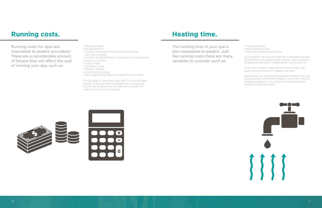## **Running costs.**

- Volume of water
- Set temperature
- Ambient temperature (the temperature where your spa is placed)
- Location of spa (sheltered or exposed to the elements)
- Amount of pumps
- Usage of spa
- Insulation of spa
- Filtration setting
- Local electricity rates
- Spa usage during peak or off peak electricity rates

The list goes on, and as you can see it is a complicated subject. There are ways to manage the running costs of your spa, so please do not hesitate to contact our customer service line for advice.

Running costs for spas are impossible to predict accurately! There are a considerable amount of factors that will affect the cost of running your spa, such as:

## **Heating time.**

The heating time of your spa is also impossible to predict. Just like running costs there are many variables to consider, such as:

- Volume of water
- Heater element size
- Pool and ambient temperature

As a guideline, we can estimate that a standard spa pool of 1500 liters with a 3kw heater element, will increase in temperature between 1-2 degrees per hour (cover on).

If you have a larger heater element such as 6kw, you could obtain between 2-4 degrees per hour.

Heat pumps can significantly decrease heating time and reduce power consumption, however, your heat time will always be relevant to the volume of water and power available to heat the water.



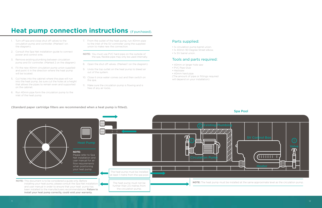## Parts supplied:

- 1x circulation pump barrel union.
- 1x 40mm 90 Degree Street elbow.
- 1x SV barrel union.

## Tools and parts required:

- 40mm or larger hole saw
- PVC Pipe Glue
- Hacksaw
- 40mm hard pipe
- (The amount of pipe or fittings required will depend on your installation)

## **Heat pump connection instructions (if purchased).**

- 1. Turn off spa and close shut off valves to the circulation pump and controller. (Marked 1 on the diagram).
- 2. Consult the Spa Net installation guide to connect power and control wire.
- 3. Remove existing plumbing between circulation pump and SV controller. (Marked 2 on the diagram)
- 4. Fit the new 40mm circulation pump union supplied and point it in the direction where the heat pump will be located.
- 5. Cut holes into the cabinet where the pipe will run into the heat pump, be sure cut the holes at a height that allows the pipes to remain even and supported on the cabinet.
- 6. Run 40mm pipe form the circulation pump to the inlet of the heat pump.

#### (Standard paper cartridge filters are recommended when a heat pump is fitted).

### Spa Pool



7. From the outlet of the heat pump, run 40mm pipe to the inlet of the SV controller using the supplied union to make new the connection.

**NOTE:** You must use PVC hard pipe on the outside of the spa, flexible pipe may only be used internally.

- 8. Open the shut off valves. (Marked 1 on the diagram).
- 9. Undo the top outlet on the heat pump to bleed air out of the system.
- 10. Close it once water comes out and then switch on the spa.
- 11. Make sure the circulation pump is flowing and is free of any air locks.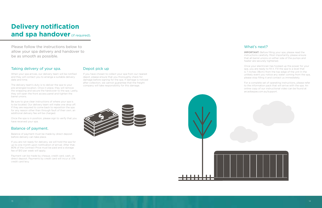## Taking delivery of your spa.

When your spa arrives, our delivery team will be notified and they will contact you to arrange a suitable delivery date and time.

The delivery team's duty is to deliver the spa to your pre-arranged location. Once in place, they will remove the wrapping and secure the hardcover to the spa. Lastly, they will open the front access panel and tighten the barrel unions.

Be sure to give clear instructions of where your spa is to be located. Our delivery team will make one drop off. If they are required to come back to reposition the spa for any reason other than through fault of their own, an additional delivery fee will be charged.

Once the spa is in position, please sign to verify that you have received your spa.

## Balance of payment.

Balance of payment must be made by direct deposit before delivery can take place.

If you are not ready for delivery, we will hold the spa for up to one month upon notification of arrival. After that, 80% of the Contract Price must be paid and a storage fee of \$10 per week will apply.

Payment can be made by cheque, credit card, cash, or direct deposit. Payments by credit card will incur a 1.5% credit card levy.

## Depot pick up

If you have chosen to collect your spa from our nearest depot, please ensure that you thoroughly check for damage before signing for the spa. If damage is noticed after collection, we cannot guarantee that the freight company will take responsibility for this damage.

## What's next?

IMPORTANT: Before filling your spa, please read the instructions carefully. Most importantly, please ensure that all barrel unions on either side of the pumps and heater are securely tightened.

Once your electrician has hooked up the power for your spa, you are ready to fill it. Fill the spa to a level that is 7 inches (18cm) from the top edge of the unit In the unlikely event you notice any water coming from the spa, please stop filling it and contact us immediately.

For a complete set of operating instructions, please refer to the information pack that will arrive with the spa. An online copy of our instructional video can be found at arcadiaspas.com.au/support.

## **Delivery notification and spa handover** (if required).

Please follow the instructions below to allow your spa delivery and handover to be as smooth as possible.